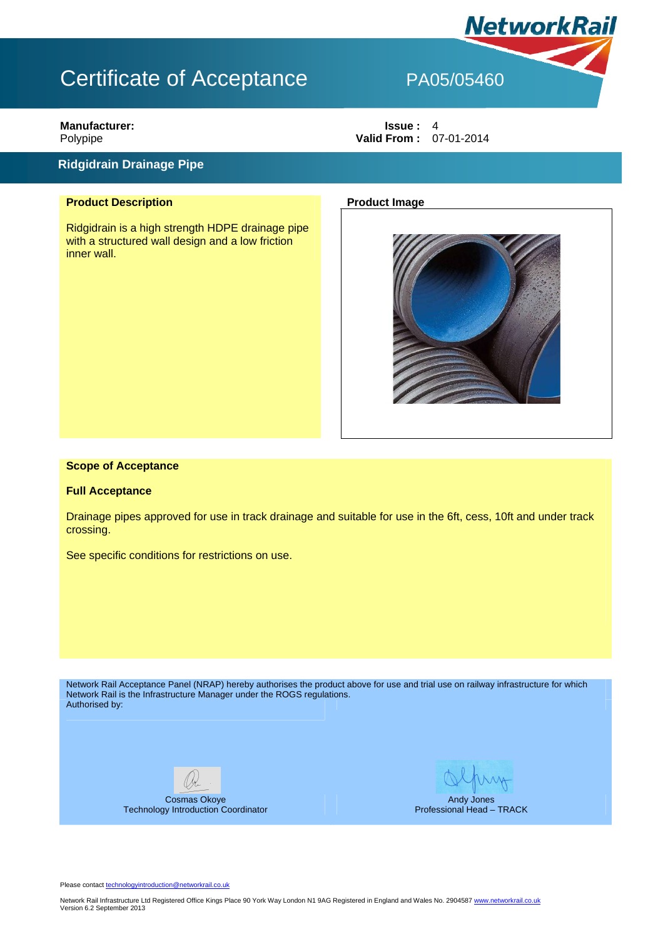## **Manufacturer: ISSUE** : 4

Polypipe **Valid From :** 07-01-2014

## **Ridgidrain Drainage Pipe**

## **Product Description Product Image 10 April 2016**

Ridgidrain is a high strength HDPE drainage pipe with a structured wall design and a low friction inner wall.



### **Scope of Acceptance**

### **Full Acceptance**

Drainage pipes approved for use in track drainage and suitable for use in the 6ft, cess, 10ft and under track crossing.

See specific conditions for restrictions on use.

Network Rail Acceptance Panel (NRAP) hereby authorises the product above for use and trial use on railway infrastructure for which Network Rail is the Infrastructure Manager under the ROGS regulations. Authorised by:



Andy Jones

Professional Head – TRACK

Please contact **technologyintroduction@networkrail.co.uk** 

**NetworkRail**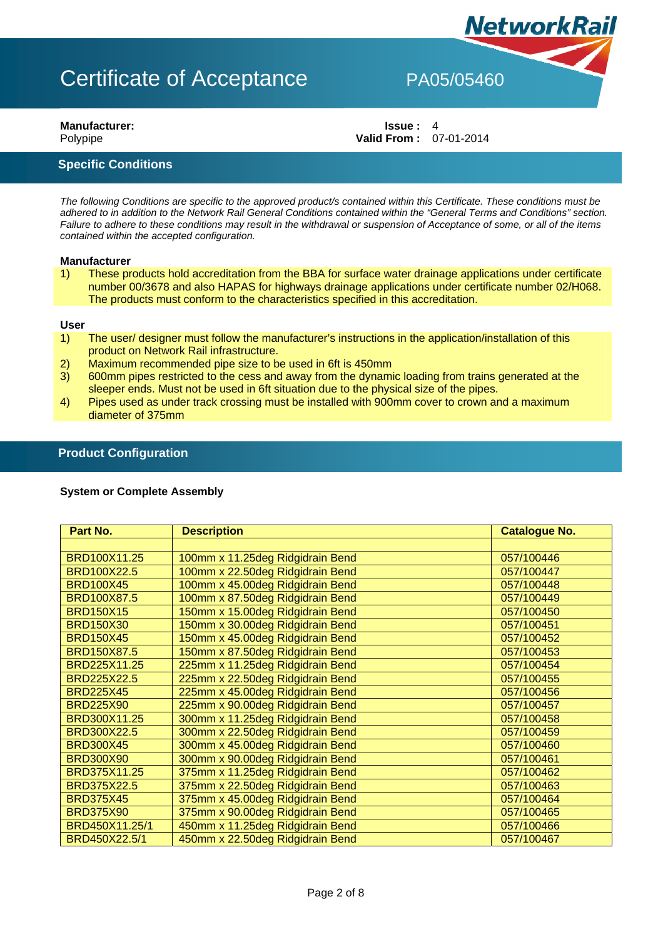**NetworkRail** 

**Manufacturer:** Issue : 4 Polypipe **Valid From :** 07-01-2014

# **Specific Conditions**

*The following Conditions are specific to the approved product/s contained within this Certificate. These conditions must be adhered to in addition to the Network Rail General Conditions contained within the "General Terms and Conditions" section. Failure to adhere to these conditions may result in the withdrawal or suspension of Acceptance of some, or all of the items contained within the accepted configuration.* 

### **Manufacturer**

1) These products hold accreditation from the BBA for surface water drainage applications under certificate number 00/3678 and also HAPAS for highways drainage applications under certificate number 02/H068. The products must conform to the characteristics specified in this accreditation.

### **User**

- 1) The user/ designer must follow the manufacturer's instructions in the application/installation of this product on Network Rail infrastructure.
- 2) Maximum recommended pipe size to be used in 6ft is 450mm
- 3) 600mm pipes restricted to the cess and away from the dynamic loading from trains generated at the sleeper ends. Must not be used in 6ft situation due to the physical size of the pipes.
- 4) Pipes used as under track crossing must be installed with 900mm cover to crown and a maximum diameter of 375mm

## **Product Configuration**

### **System or Complete Assembly**

| Part No.           | <b>Description</b>               | <b>Catalogue No.</b> |
|--------------------|----------------------------------|----------------------|
|                    |                                  |                      |
| BRD100X11.25       | 100mm x 11.25deg Ridgidrain Bend | 057/100446           |
| <b>BRD100X22.5</b> | 100mm x 22.50deg Ridgidrain Bend | 057/100447           |
| <b>BRD100X45</b>   | 100mm x 45.00deg Ridgidrain Bend | 057/100448           |
| <b>BRD100X87.5</b> | 100mm x 87.50deg Ridgidrain Bend | 057/100449           |
| <b>BRD150X15</b>   | 150mm x 15.00deg Ridgidrain Bend | 057/100450           |
| <b>BRD150X30</b>   | 150mm x 30.00deg Ridgidrain Bend | 057/100451           |
| <b>BRD150X45</b>   | 150mm x 45.00deg Ridgidrain Bend | 057/100452           |
| <b>BRD150X87.5</b> | 150mm x 87.50deg Ridgidrain Bend | 057/100453           |
| BRD225X11.25       | 225mm x 11.25deg Ridgidrain Bend | 057/100454           |
| <b>BRD225X22.5</b> | 225mm x 22.50deg Ridgidrain Bend | 057/100455           |
| <b>BRD225X45</b>   | 225mm x 45.00deg Ridgidrain Bend | 057/100456           |
| <b>BRD225X90</b>   | 225mm x 90.00deg Ridgidrain Bend | 057/100457           |
| BRD300X11.25       | 300mm x 11.25deg Ridgidrain Bend | 057/100458           |
| <b>BRD300X22.5</b> | 300mm x 22.50deg Ridgidrain Bend | 057/100459           |
| <b>BRD300X45</b>   | 300mm x 45.00deg Ridgidrain Bend | 057/100460           |
| <b>BRD300X90</b>   | 300mm x 90.00deg Ridgidrain Bend | 057/100461           |
| BRD375X11.25       | 375mm x 11.25deg Ridgidrain Bend | 057/100462           |
| <b>BRD375X22.5</b> | 375mm x 22.50deg Ridgidrain Bend | 057/100463           |
| <b>BRD375X45</b>   | 375mm x 45.00deg Ridgidrain Bend | 057/100464           |
| <b>BRD375X90</b>   | 375mm x 90.00deg Ridgidrain Bend | 057/100465           |
| BRD450X11.25/1     | 450mm x 11.25deg Ridgidrain Bend | 057/100466           |
| BRD450X22.5/1      | 450mm x 22.50deg Ridgidrain Bend | 057/100467           |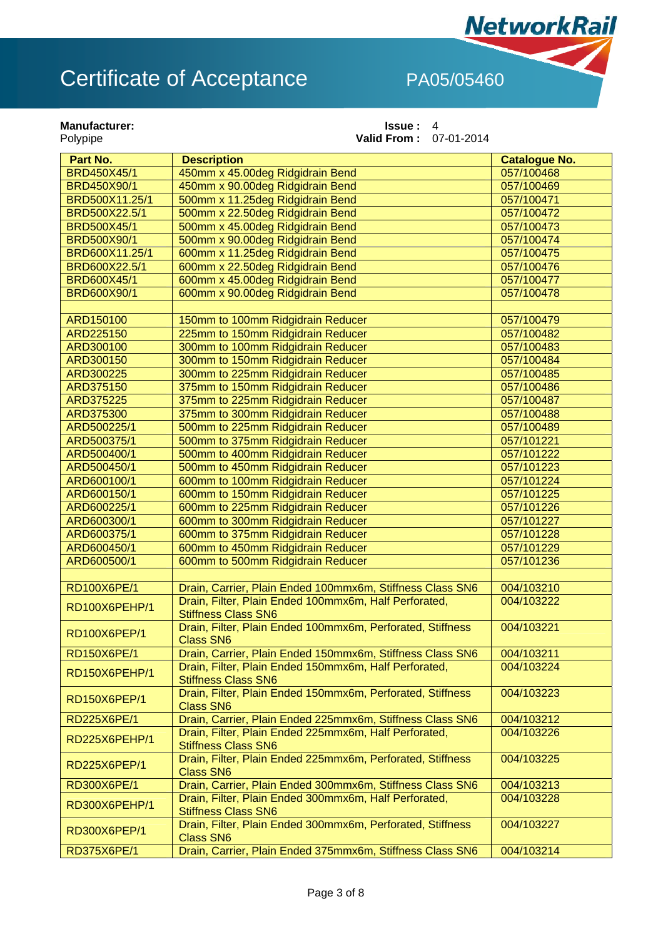**NetworkRail** 

**Manufacturer:**  $\qquad \qquad$  **Manufacturer:**  $\qquad \qquad$  **Issue :** 4 Polypipe **Valid From :** 07-01-2014

| Part No.                                                                        | <b>Description</b>                                                                                | <b>Catalogue No.</b> |  |
|---------------------------------------------------------------------------------|---------------------------------------------------------------------------------------------------|----------------------|--|
| <b>BRD450X45/1</b>                                                              | 450mm x 45.00deg Ridgidrain Bend                                                                  | 057/100468           |  |
| <b>BRD450X90/1</b>                                                              | 450mm x 90.00deg Ridgidrain Bend                                                                  | 057/100469           |  |
| BRD500X11.25/1                                                                  | 500mm x 11.25deg Ridgidrain Bend                                                                  | 057/100471           |  |
| BRD500X22.5/1                                                                   | 500mm x 22.50deg Ridgidrain Bend                                                                  | 057/100472           |  |
| <b>BRD500X45/1</b>                                                              | 500mm x 45.00deg Ridgidrain Bend                                                                  | 057/100473           |  |
| BRD500X90/1                                                                     | 500mm x 90.00deg Ridgidrain Bend                                                                  | 057/100474           |  |
| BRD600X11.25/1                                                                  | 600mm x 11.25deg Ridgidrain Bend                                                                  | 057/100475           |  |
| BRD600X22.5/1                                                                   | 600mm x 22.50deg Ridgidrain Bend                                                                  | 057/100476           |  |
| <b>BRD600X45/1</b>                                                              | 600mm x 45.00deg Ridgidrain Bend                                                                  | 057/100477           |  |
| <b>BRD600X90/1</b>                                                              | 600mm x 90.00deg Ridgidrain Bend                                                                  | 057/100478           |  |
|                                                                                 |                                                                                                   |                      |  |
| <b>ARD150100</b>                                                                | 150mm to 100mm Ridgidrain Reducer                                                                 | 057/100479           |  |
| ARD225150                                                                       | 225mm to 150mm Ridgidrain Reducer                                                                 | 057/100482           |  |
| ARD300100                                                                       | 300mm to 100mm Ridgidrain Reducer                                                                 | 057/100483           |  |
| ARD300150                                                                       | 300mm to 150mm Ridgidrain Reducer                                                                 | 057/100484           |  |
| ARD300225                                                                       | 300mm to 225mm Ridgidrain Reducer                                                                 | 057/100485           |  |
| ARD375150                                                                       | 375mm to 150mm Ridgidrain Reducer                                                                 | 057/100486           |  |
| ARD375225                                                                       | 375mm to 225mm Ridgidrain Reducer                                                                 | 057/100487           |  |
| ARD375300                                                                       | 375mm to 300mm Ridgidrain Reducer                                                                 | 057/100488           |  |
| ARD500225/1                                                                     | 500mm to 225mm Ridgidrain Reducer                                                                 | 057/100489           |  |
| ARD500375/1                                                                     | 500mm to 375mm Ridgidrain Reducer                                                                 | 057/101221           |  |
| ARD500400/1                                                                     | 500mm to 400mm Ridgidrain Reducer                                                                 | 057/101222           |  |
| ARD500450/1                                                                     | 500mm to 450mm Ridgidrain Reducer                                                                 | 057/101223           |  |
| ARD600100/1                                                                     | 600mm to 100mm Ridgidrain Reducer                                                                 | 057/101224           |  |
| ARD600150/1                                                                     | 600mm to 150mm Ridgidrain Reducer                                                                 | 057/101225           |  |
| ARD600225/1                                                                     | 600mm to 225mm Ridgidrain Reducer                                                                 | 057/101226           |  |
| ARD600300/1                                                                     | 600mm to 300mm Ridgidrain Reducer                                                                 | 057/101227           |  |
| ARD600375/1                                                                     | 600mm to 375mm Ridgidrain Reducer                                                                 | 057/101228           |  |
| ARD600450/1                                                                     | 600mm to 450mm Ridgidrain Reducer                                                                 | 057/101229           |  |
| ARD600500/1                                                                     | 600mm to 500mm Ridgidrain Reducer                                                                 | 057/101236           |  |
|                                                                                 |                                                                                                   |                      |  |
| <b>RD100X6PE/1</b><br>Drain, Carrier, Plain Ended 100mmx6m, Stiffness Class SN6 |                                                                                                   | 004/103210           |  |
|                                                                                 | Drain, Filter, Plain Ended 100mmx6m, Half Perforated,                                             | 004/103222           |  |
| RD100X6PEHP/1                                                                   | <b>Stiffness Class SN6</b>                                                                        |                      |  |
| <b>RD100X6PEP/1</b>                                                             | Drain, Filter, Plain Ended 100mmx6m, Perforated, Stiffness                                        | 004/103221           |  |
|                                                                                 | <b>Class SN6</b>                                                                                  |                      |  |
| <b>RD150X6PE/1</b>                                                              | Drain, Carrier, Plain Ended 150mmx6m, Stiffness Class SN6                                         |                      |  |
| RD150X6PEHP/1                                                                   | Drain, Filter, Plain Ended 150mmx6m, Half Perforated,                                             | 004/103224           |  |
|                                                                                 | <b>Stiffness Class SN6</b>                                                                        |                      |  |
| <b>RD150X6PEP/1</b>                                                             | Drain, Filter, Plain Ended 150mmx6m, Perforated, Stiffness                                        | 004/103223           |  |
|                                                                                 | <b>Class SN6</b>                                                                                  | 004/103212           |  |
|                                                                                 | Drain, Carrier, Plain Ended 225mmx6m, Stiffness Class SN6<br>RD225X6PE/1                          |                      |  |
| RD225X6PEHP/1                                                                   | Drain, Filter, Plain Ended 225mmx6m, Half Perforated,<br>004/103226<br><b>Stiffness Class SN6</b> |                      |  |
| RD225X6PEP/1                                                                    | Drain, Filter, Plain Ended 225mmx6m, Perforated, Stiffness<br>004/103225<br><b>Class SN6</b>      |                      |  |
| RD300X6PE/1                                                                     | Drain, Carrier, Plain Ended 300mmx6m, Stiffness Class SN6<br>004/103213<br>004/103228             |                      |  |
|                                                                                 | Drain, Filter, Plain Ended 300mmx6m, Half Perforated,                                             |                      |  |
| RD300X6PEHP/1                                                                   | <b>Stiffness Class SN6</b>                                                                        |                      |  |
| RD300X6PEP/1                                                                    | Drain, Filter, Plain Ended 300mmx6m, Perforated, Stiffness<br><b>Class SN6</b>                    | 004/103227           |  |
| RD375X6PE/1                                                                     | Drain, Carrier, Plain Ended 375mmx6m, Stiffness Class SN6                                         | 004/103214           |  |
|                                                                                 |                                                                                                   |                      |  |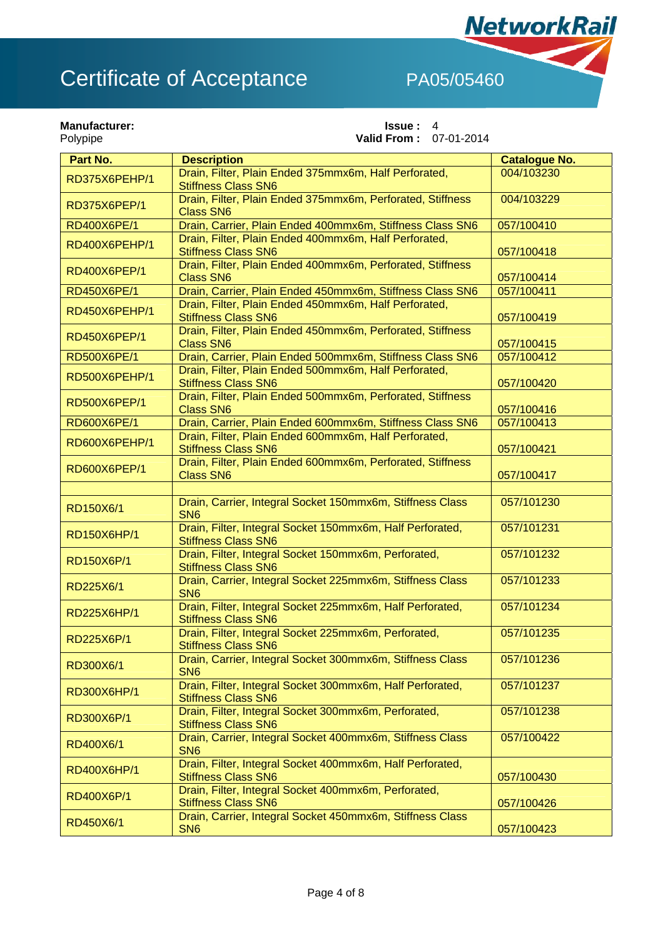**NetworkRail** 

**Manufacturer:**  $\qquad \qquad$  **Manufacturer:**  $\qquad \qquad$  **Issue :** 4

Polypipe **Valid From :** 07-01-2014

| Part No.            | <b>Description</b>                                                                                    | <b>Catalogue No.</b> |  |
|---------------------|-------------------------------------------------------------------------------------------------------|----------------------|--|
| RD375X6PEHP/1       | Drain, Filter, Plain Ended 375mmx6m, Half Perforated,<br><b>Stiffness Class SN6</b>                   | 004/103230           |  |
| RD375X6PEP/1        | Drain, Filter, Plain Ended 375mmx6m, Perforated, Stiffness<br>004/103229<br><b>Class SN6</b>          |                      |  |
| RD400X6PE/1         | Drain, Carrier, Plain Ended 400mmx6m, Stiffness Class SN6                                             | 057/100410           |  |
| RD400X6PEHP/1       | Drain, Filter, Plain Ended 400mmx6m, Half Perforated,<br><b>Stiffness Class SN6</b>                   | 057/100418           |  |
| RD400X6PEP/1        | Drain, Filter, Plain Ended 400mmx6m, Perforated, Stiffness<br><b>Class SN6</b>                        | 057/100414           |  |
| RD450X6PE/1         | Drain, Carrier, Plain Ended 450mmx6m, Stiffness Class SN6                                             | 057/100411           |  |
| RD450X6PEHP/1       | Drain, Filter, Plain Ended 450mmx6m, Half Perforated,<br><b>Stiffness Class SN6</b>                   | 057/100419           |  |
| RD450X6PEP/1        | Drain, Filter, Plain Ended 450mmx6m, Perforated, Stiffness<br><b>Class SN6</b>                        | 057/100415           |  |
| RD500X6PE/1         | Drain, Carrier, Plain Ended 500mmx6m, Stiffness Class SN6                                             | 057/100412           |  |
| RD500X6PEHP/1       | Drain, Filter, Plain Ended 500mmx6m, Half Perforated,<br><b>Stiffness Class SN6</b>                   | 057/100420           |  |
| <b>RD500X6PEP/1</b> | Drain, Filter, Plain Ended 500mmx6m, Perforated, Stiffness<br><b>Class SN6</b>                        | 057/100416           |  |
| RD600X6PE/1         | Drain, Carrier, Plain Ended 600mmx6m, Stiffness Class SN6                                             | 057/100413           |  |
| RD600X6PEHP/1       | Drain, Filter, Plain Ended 600mmx6m, Half Perforated,<br><b>Stiffness Class SN6</b><br>057/100421     |                      |  |
| RD600X6PEP/1        | Drain, Filter, Plain Ended 600mmx6m, Perforated, Stiffness<br><b>Class SN6</b>                        | 057/100417           |  |
|                     |                                                                                                       |                      |  |
| RD150X6/1           | Drain, Carrier, Integral Socket 150mmx6m, Stiffness Class<br>SN <sub>6</sub>                          | 057/101230           |  |
| RD150X6HP/1         | Drain, Filter, Integral Socket 150mmx6m, Half Perforated,<br><b>Stiffness Class SN6</b>               | 057/101231           |  |
| RD150X6P/1          | Drain, Filter, Integral Socket 150mmx6m, Perforated,<br><b>Stiffness Class SN6</b>                    | 057/101232           |  |
| RD225X6/1           | Drain, Carrier, Integral Socket 225mmx6m, Stiffness Class<br>SN <sub>6</sub>                          | 057/101233           |  |
| RD225X6HP/1         | Drain, Filter, Integral Socket 225mmx6m, Half Perforated,<br><b>Stiffness Class SN6</b>               | 057/101234           |  |
| RD225X6P/1          | Drain, Filter, Integral Socket 225mmx6m, Perforated,<br><b>Stiffness Class SN6</b>                    | 057/101235           |  |
| RD300X6/1           | Drain, Carrier, Integral Socket 300mmx6m, Stiffness Class<br>057/101236<br>SN <sub>6</sub>            |                      |  |
| RD300X6HP/1         | Drain, Filter, Integral Socket 300mmx6m, Half Perforated,<br>057/101237<br><b>Stiffness Class SN6</b> |                      |  |
| RD300X6P/1          | Drain, Filter, Integral Socket 300mmx6m, Perforated,<br><b>Stiffness Class SN6</b>                    | 057/101238           |  |
| RD400X6/1           | Drain, Carrier, Integral Socket 400mmx6m, Stiffness Class<br>SN <sub>6</sub>                          | 057/100422           |  |
| RD400X6HP/1         | Drain, Filter, Integral Socket 400mmx6m, Half Perforated,<br><b>Stiffness Class SN6</b><br>057/100430 |                      |  |
| RD400X6P/1          | Drain, Filter, Integral Socket 400mmx6m, Perforated,<br><b>Stiffness Class SN6</b>                    | 057/100426           |  |
| RD450X6/1           | Drain, Carrier, Integral Socket 450mmx6m, Stiffness Class<br>SN <sub>6</sub>                          | 057/100423           |  |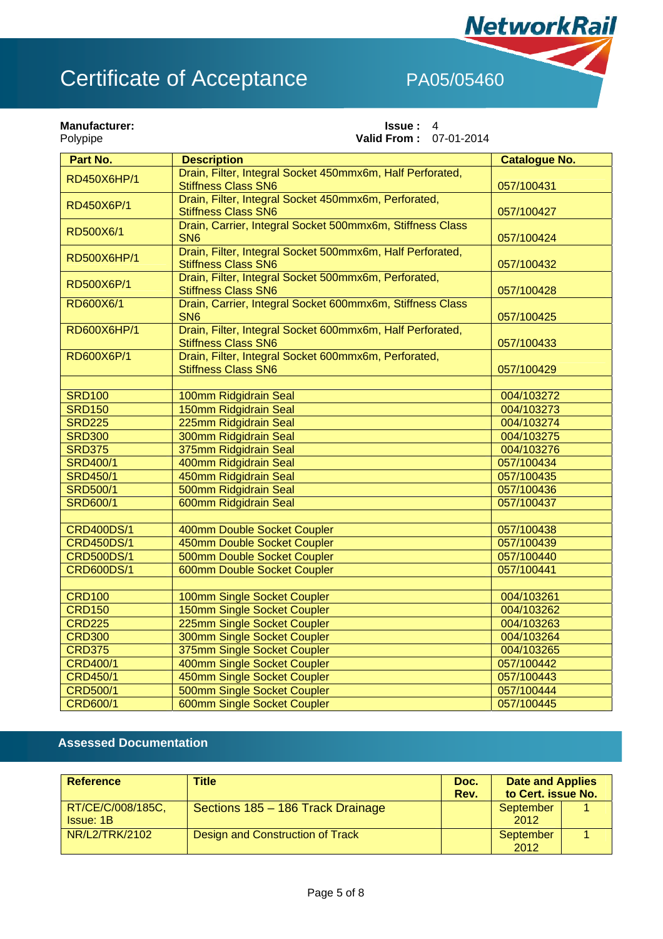**NetworkRail** 

| <b>Manufacturer:</b> | Is sue: 4                     |  |
|----------------------|-------------------------------|--|
| Polypipe             | <b>Valid From: 07-01-2014</b> |  |

| Part No.          | <b>Description</b>                                                                 | <b>Catalogue No.</b> |
|-------------------|------------------------------------------------------------------------------------|----------------------|
|                   | Drain, Filter, Integral Socket 450mmx6m, Half Perforated,                          |                      |
| RD450X6HP/1       | <b>Stiffness Class SN6</b>                                                         | 057/100431           |
|                   | Drain, Filter, Integral Socket 450mmx6m, Perforated,                               |                      |
| RD450X6P/1        | <b>Stiffness Class SN6</b>                                                         | 057/100427           |
| RD500X6/1         | Drain, Carrier, Integral Socket 500mmx6m, Stiffness Class                          |                      |
|                   | SN <sub>6</sub>                                                                    | 057/100424           |
| RD500X6HP/1       | Drain, Filter, Integral Socket 500mmx6m, Half Perforated,                          |                      |
|                   | <b>Stiffness Class SN6</b>                                                         | 057/100432           |
| RD500X6P/1        | Drain, Filter, Integral Socket 500mmx6m, Perforated,                               |                      |
|                   | <b>Stiffness Class SN6</b>                                                         | 057/100428           |
| RD600X6/1         | Drain, Carrier, Integral Socket 600mmx6m, Stiffness Class                          |                      |
|                   | SN <sub>6</sub>                                                                    | 057/100425           |
| RD600X6HP/1       | Drain, Filter, Integral Socket 600mmx6m, Half Perforated,                          |                      |
| <b>RD600X6P/1</b> | <b>Stiffness Class SN6</b><br>Drain, Filter, Integral Socket 600mmx6m, Perforated, | 057/100433           |
|                   | <b>Stiffness Class SN6</b>                                                         | 057/100429           |
|                   |                                                                                    |                      |
| <b>SRD100</b>     | 100mm Ridgidrain Seal                                                              | 004/103272           |
| <b>SRD150</b>     | 150mm Ridgidrain Seal                                                              | 004/103273           |
| <b>SRD225</b>     | 225mm Ridgidrain Seal                                                              | 004/103274           |
| <b>SRD300</b>     | 300mm Ridgidrain Seal                                                              | 004/103275           |
| <b>SRD375</b>     | 375mm Ridgidrain Seal                                                              | 004/103276           |
| <b>SRD400/1</b>   | 400mm Ridgidrain Seal                                                              | 057/100434           |
| <b>SRD450/1</b>   | 450mm Ridgidrain Seal<br>057/100435                                                |                      |
| <b>SRD500/1</b>   | 500mm Ridgidrain Seal                                                              | 057/100436           |
| <b>SRD600/1</b>   | 600mm Ridgidrain Seal                                                              | 057/100437           |
|                   |                                                                                    |                      |
| <b>CRD400DS/1</b> | 400mm Double Socket Coupler                                                        | 057/100438           |
| <b>CRD450DS/1</b> | 450mm Double Socket Coupler                                                        | 057/100439           |
| <b>CRD500DS/1</b> | 500mm Double Socket Coupler<br>057/100440                                          |                      |
| <b>CRD600DS/1</b> | 600mm Double Socket Coupler                                                        | 057/100441           |
|                   |                                                                                    |                      |
| <b>CRD100</b>     | 100mm Single Socket Coupler                                                        | 004/103261           |
| <b>CRD150</b>     | 150mm Single Socket Coupler                                                        | 004/103262           |
| <b>CRD225</b>     | 225mm Single Socket Coupler                                                        | 004/103263           |
| <b>CRD300</b>     | 300mm Single Socket Coupler                                                        | 004/103264           |
| <b>CRD375</b>     | 375mm Single Socket Coupler                                                        | 004/103265           |
| <b>CRD400/1</b>   | 400mm Single Socket Coupler                                                        | 057/100442           |
| <b>CRD450/1</b>   | 450mm Single Socket Coupler                                                        | 057/100443           |
| <b>CRD500/1</b>   | 500mm Single Socket Coupler                                                        | 057/100444           |
| <b>CRD600/1</b>   | 600mm Single Socket Coupler<br>057/100445                                          |                      |

## **Assessed Documentation**

| <b>Reference</b>                      | Title                             | Doc.<br>Rev. | <b>Date and Applies</b><br>to Cert. issue No. |  |
|---------------------------------------|-----------------------------------|--------------|-----------------------------------------------|--|
| RT/CE/C/008/185C,<br><b>Issue: 1B</b> | Sections 185 - 186 Track Drainage |              | September<br>2012                             |  |
| NR/L2/TRK/2102                        | Design and Construction of Track  |              | September<br>2012                             |  |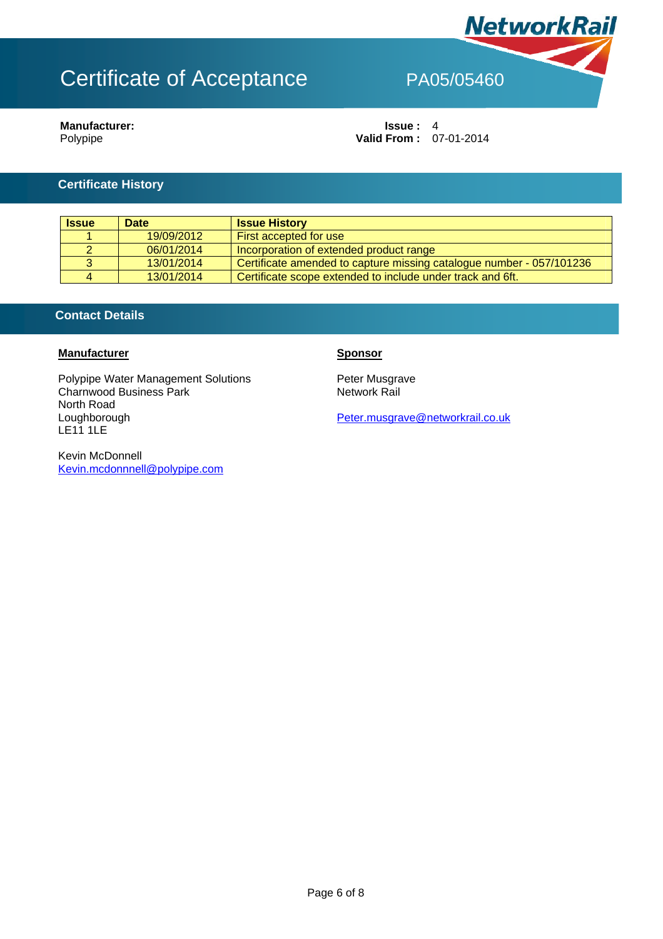**NetworkRail** 

**Manufacturer:** Issue : 4 Polypipe **Valid From :** 07-01-2014

# **Certificate History**

| <b>Issue</b> | <b>Date</b> | <b>Issue History</b>                                                 |
|--------------|-------------|----------------------------------------------------------------------|
|              | 19/09/2012  | First accepted for use                                               |
|              | 06/01/2014  | Incorporation of extended product range                              |
|              | 13/01/2014  | Certificate amended to capture missing catalogue number - 057/101236 |
| 4            | 13/01/2014  | Certificate scope extended to include under track and 6ft.           |

# **Contact Details**

## **Manufacturer Sponsor**

Polypipe Water Management Solutions Charnwood Business Park North Road Loughborough LE11 1LE

Kevin McDonnell [Kevin.mcdonnnell@polypipe.com](mailto:Kevin.mcdonnnell@polypipe.com)

Peter Musgrave Network Rail

[Peter.musgrave@networkrail.co.uk](mailto:Peter.musgrave@networkrail.co.uk)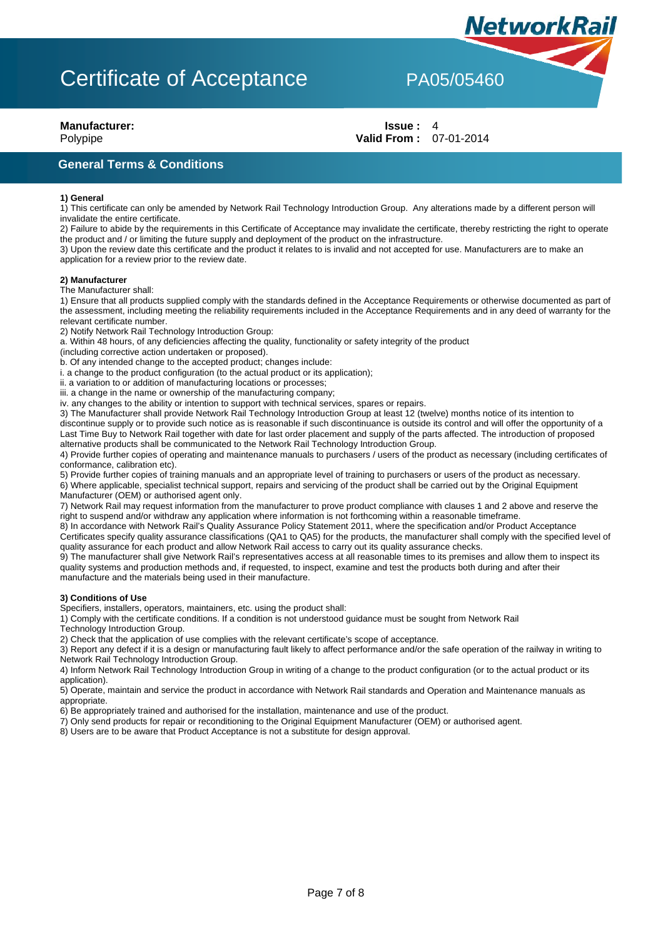**NetworkRail** 

## **Manufacturer:** Issue : 4 Polypipe **Valid From :** 07-01-2014

# **General Terms & Conditions**

### **1) General**

1) This certificate can only be amended by Network Rail Technology Introduction Group. Any alterations made by a different person will invalidate the entire certificate.

2) Failure to abide by the requirements in this Certificate of Acceptance may invalidate the certificate, thereby restricting the right to operate the product and / or limiting the future supply and deployment of the product on the infrastructure.

3) Upon the review date this certificate and the product it relates to is invalid and not accepted for use. Manufacturers are to make an application for a review prior to the review date.

### **2) Manufacturer**

The Manufacturer shall:

1) Ensure that all products supplied comply with the standards defined in the Acceptance Requirements or otherwise documented as part of the assessment, including meeting the reliability requirements included in the Acceptance Requirements and in any deed of warranty for the relevant certificate number.

2) Notify Network Rail Technology Introduction Group:

a. Within 48 hours, of any deficiencies affecting the quality, functionality or safety integrity of the product

(including corrective action undertaken or proposed).

b. Of any intended change to the accepted product; changes include:

i. a change to the product configuration (to the actual product or its application);

ii. a variation to or addition of manufacturing locations or processes;

iii. a change in the name or ownership of the manufacturing company;

iv. any changes to the ability or intention to support with technical services, spares or repairs.

3) The Manufacturer shall provide Network Rail Technology Introduction Group at least 12 (twelve) months notice of its intention to discontinue supply or to provide such notice as is reasonable if such discontinuance is outside its control and will offer the opportunity of a Last Time Buy to Network Rail together with date for last order placement and supply of the parts affected. The introduction of proposed alternative products shall be communicated to the Network Rail Technology Introduction Group.

4) Provide further copies of operating and maintenance manuals to purchasers / users of the product as necessary (including certificates of conformance, calibration etc).

5) Provide further copies of training manuals and an appropriate level of training to purchasers or users of the product as necessary. 6) Where applicable, specialist technical support, repairs and servicing of the product shall be carried out by the Original Equipment Manufacturer (OEM) or authorised agent only.

7) Network Rail may request information from the manufacturer to prove product compliance with clauses 1 and 2 above and reserve the right to suspend and/or withdraw any application where information is not forthcoming within a reasonable timeframe.

8) In accordance with Network Rail's Quality Assurance Policy Statement 2011, where the specification and/or Product Acceptance Certificates specify quality assurance classifications (QA1 to QA5) for the products, the manufacturer shall comply with the specified level of quality assurance for each product and allow Network Rail access to carry out its quality assurance checks.

9) The manufacturer shall give Network Rail's representatives access at all reasonable times to its premises and allow them to inspect its quality systems and production methods and, if requested, to inspect, examine and test the products both during and after their manufacture and the materials being used in their manufacture.

### **3) Conditions of Use**

Specifiers, installers, operators, maintainers, etc. using the product shall:

1) Comply with the certificate conditions. If a condition is not understood guidance must be sought from Network Rail

Technology Introduction Group.

2) Check that the application of use complies with the relevant certificate's scope of acceptance.

3) Report any defect if it is a design or manufacturing fault likely to affect performance and/or the safe operation of the railway in writing to Network Rail Technology Introduction Group.

4) Inform Network Rail Technology Introduction Group in writing of a change to the product configuration (or to the actual product or its application).

5) Operate, maintain and service the product in accordance with Network Rail standards and Operation and Maintenance manuals as appropriate.

6) Be appropriately trained and authorised for the installation, maintenance and use of the product.

7) Only send products for repair or reconditioning to the Original Equipment Manufacturer (OEM) or authorised agent.

8) Users are to be aware that Product Acceptance is not a substitute for design approval.